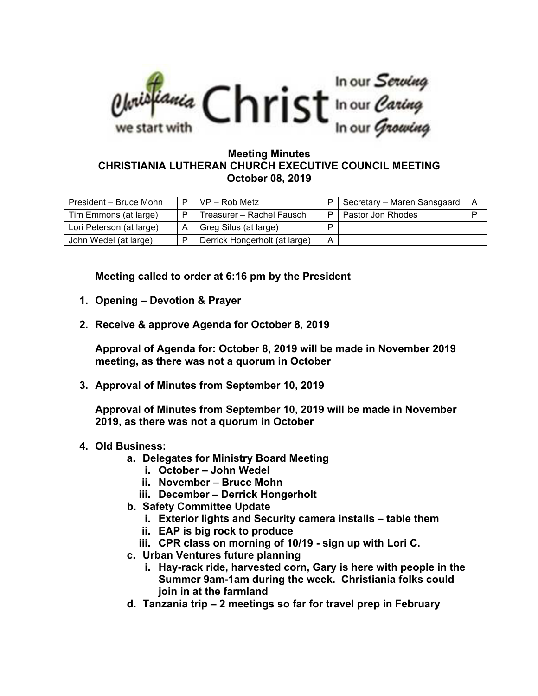

## **Meeting Minutes CHRISTIANIA LUTHERAN CHURCH EXECUTIVE COUNCIL MEETING October 08, 2019**

| President - Bruce Mohn   | P | $VP - Rob Metz$               |   | Secretary – Maren Sansgaard | l A |
|--------------------------|---|-------------------------------|---|-----------------------------|-----|
| Tim Emmons (at large)    | D | Treasurer - Rachel Fausch     | Þ | Pastor Jon Rhodes           | D   |
| Lori Peterson (at large) |   | Greg Silus (at large)         | D |                             |     |
| John Wedel (at large)    |   | Derrick Hongerholt (at large) | А |                             |     |

**Meeting called to order at 6:16 pm by the President**

- **1. Opening – Devotion & Prayer**
- **2. Receive & approve Agenda for October 8, 2019**

**Approval of Agenda for: October 8, 2019 will be made in November 2019 meeting, as there was not a quorum in October**

**3. Approval of Minutes from September 10, 2019**

**Approval of Minutes from September 10, 2019 will be made in November 2019, as there was not a quorum in October**

- **4. Old Business:**
	- **a. Delegates for Ministry Board Meeting**
		- **i. October – John Wedel**
		- **ii. November – Bruce Mohn**
		- **iii. December – Derrick Hongerholt**
	- **b. Safety Committee Update**
		- **i. Exterior lights and Security camera installs – table them**
		- **ii. EAP is big rock to produce**
		- **iii. CPR class on morning of 10/19 - sign up with Lori C.**
	- **c. Urban Ventures future planning**
		- **i. Hay-rack ride, harvested corn, Gary is here with people in the Summer 9am-1am during the week. Christiania folks could join in at the farmland**
	- **d. Tanzania trip – 2 meetings so far for travel prep in February**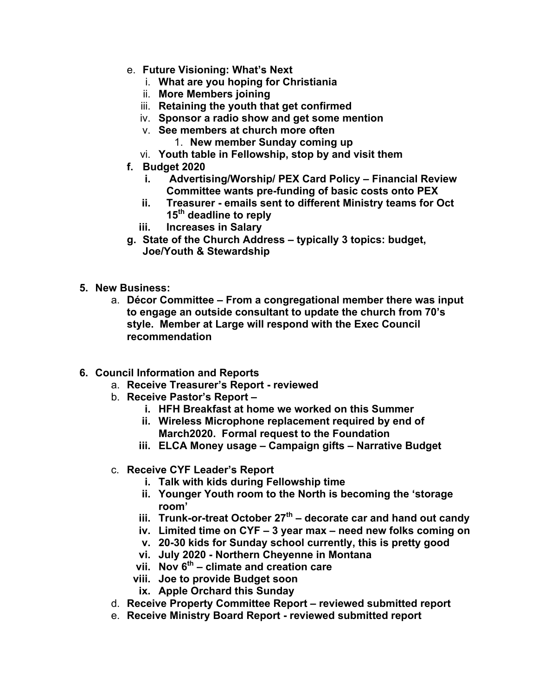- e. **Future Visioning: What's Next**
	- i. **What are you hoping for Christiania**
	- ii. **More Members joining**
	- iii. **Retaining the youth that get confirmed**
	- iv. **Sponsor a radio show and get some mention**
	- v. **See members at church more often**
		- 1. **New member Sunday coming up**
	- vi. **Youth table in Fellowship, stop by and visit them**
- **f. Budget 2020**
	- **i. Advertising/Worship/ PEX Card Policy – Financial Review Committee wants pre-funding of basic costs onto PEX**
	- **ii. Treasurer - emails sent to different Ministry teams for Oct 15th deadline to reply**
	- **iii. Increases in Salary**
- **g. State of the Church Address – typically 3 topics: budget, Joe/Youth & Stewardship**
- **5. New Business:** 
	- a. **Décor Committee – From a congregational member there was input to engage an outside consultant to update the church from 70's style. Member at Large will respond with the Exec Council recommendation**
- **6. Council Information and Reports**
	- a. **Receive Treasurer's Report - reviewed**
	- b. **Receive Pastor's Report –**
		- **i. HFH Breakfast at home we worked on this Summer**
		- **ii. Wireless Microphone replacement required by end of March2020. Formal request to the Foundation**
		- **iii. ELCA Money usage – Campaign gifts – Narrative Budget**
	- c. **Receive CYF Leader's Report**
		- **i. Talk with kids during Fellowship time**
		- **ii. Younger Youth room to the North is becoming the 'storage room'**
		- **iii. Trunk-or-treat October 27th – decorate car and hand out candy**
		- **iv. Limited time on CYF – 3 year max – need new folks coming on**
		- **v. 20-30 kids for Sunday school currently, this is pretty good**
		- **vi. July 2020 - Northern Cheyenne in Montana**
		- **vii. Nov 6th – climate and creation care**
		- **viii. Joe to provide Budget soon**
		- **ix. Apple Orchard this Sunday**
	- d. **Receive Property Committee Report – reviewed submitted report**
	- e. **Receive Ministry Board Report - reviewed submitted report**